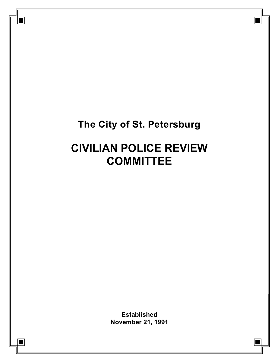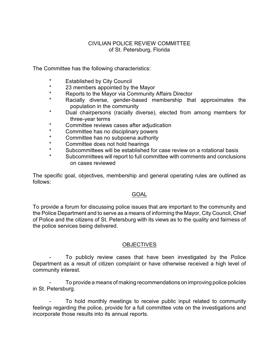### CIVILIAN POLICE REVIEW COMMITTEE of St. Petersburg, Florida

The Committee has the following characteristics:

- \* Established by City Council<br>\* 23 mombors appointed by the
- \* 23 members appointed by the Mayor<br>\* Benefis to the Mayor via Community
- \* Reports to the Mayor via Community Affairs Director<br>\* Pacially, diverse, gonder based, mombership, the
- Racially diverse, gender-based membership that approximates the population in the community
- \* Dual chairpersons (racially diverse), elected from among members for three-year terms
- \* Committee reviews cases after adjudication<br>\* Committee has no disciplinary powers
- \* Committee has no disciplinary powers
- \* Committee has no subpoena authority<br>\* Committee does not hold begrings
- \* Committee does not hold hearings
- \* Subcommittees will be established for case review on a rotational basis<br>\* Subcommittees will report to full committee with commente and conclusion
- Subcommittees will report to full committee with comments and conclusions on cases reviewed

The specific goal, objectives, membership and general operating rules are outlined as follows:

# **GOAL**

To provide a forum for discussing police issues that are important to the community and the Police Department and to serve as a means of informing the Mayor, City Council, Chief of Police and the citizens of St. Petersburg with its views as to the quality and fairness of the police services being delivered.

# **OBJECTIVES**

To publicly review cases that have been investigated by the Police Department as a result of citizen complaint or have otherwise received a high level of community interest.

- To provide a means of making recommendations on improving police policies in St. Petersburg.

To hold monthly meetings to receive public input related to community feelings regarding the police, provide for a full committee vote on the investigations and incorporate those results into its annual reports.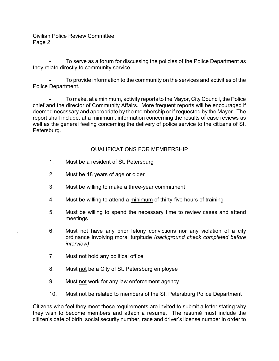To serve as a forum for discussing the policies of the Police Department as they relate directly to community service.

To provide information to the community on the services and activities of the Police Department.

- To make, at a minimum, activity reports to the Mayor, City Council, the Police chief and the director of Community Affairs. More frequent reports will be encouraged if deemed necessary and appropriate by the membership or if requested by the Mayor. The report shall include, at a minimum, information concerning the results of case reviews as well as the general feeling concerning the delivery of police service to the citizens of St. Petersburg.

### QUALIFICATIONS FOR MEMBERSHIP

- 1. Must be a resident of St. Petersburg
- 2. Must be 18 years of age or older
- 3. Must be willing to make a three-year commitment
- 4. Must be willing to attend a minimum of thirty-five hours of training
- 5. Must be willing to spend the necessary time to review cases and attend meetings
- . 6. Must not have any prior felony convictions nor any violation of a city ordinance involving moral turpitude *(background check completed before interview)*
- 7. Must not hold any political office
- 8. Must not be a City of St. Petersburg employee
- 9. Must not work for any law enforcement agency
- 10. Must not be related to members of the St. Petersburg Police Department

Citizens who feel they meet these requirements are invited to submit a letter stating why they wish to become members and attach a resumé. The resumé must include the citizen's date of birth, social security number, race and driver's license number in order to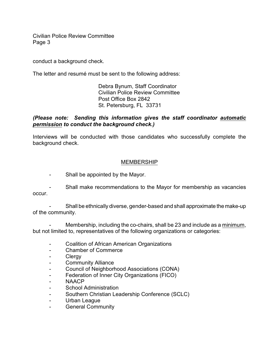conduct a background check.

The letter and resumé must be sent to the following address:

Debra Bynum, Staff Coordinator Civilian Police Review Committee Post Office Box 2842 St. Petersburg, FL 33731

### *(Please note: Sending this information gives the staff coordinator automatic permission to conduct the background check.)*

Interviews will be conducted with those candidates who successfully complete the background check.

#### MEMBERSHIP

- Shall be appointed by the Mayor.
- Shall make recommendations to the Mayor for membership as vacancies occur.

- Shall be ethnically diverse, gender-based and shall approximate the make-up of the community.

Membership, including the co-chairs, shall be 23 and include as a minimum, but not limited to, representatives of the following organizations or categories:

- Coalition of African American Organizations
- Chamber of Commerce
- Clergy
- Community Alliance
- Council of Neighborhood Associations (CONA)
- Federation of Inner City Organizations (FICO)
- NAACP
- School Administration
- Southern Christian Leadership Conference (SCLC)
- Urban League
- General Community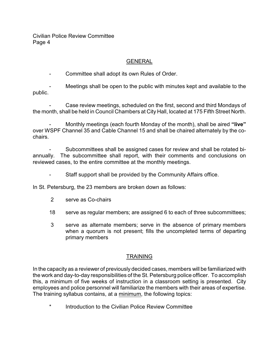## GENERAL

Committee shall adopt its own Rules of Order.

Meetings shall be open to the public with minutes kept and available to the public.

Case review meetings, scheduled on the first, second and third Mondays of the month, shall be held in Council Chambers at City Hall, located at 175 Fifth Street North.

- Monthly meetings (each fourth Monday of the month), shall be aired **"live"** over WSPF Channel 35 and Cable Channel 15 and shall be chaired alternately by the cochairs.

- Subcommittees shall be assigned cases for review and shall be rotated biannually. The subcommittee shall report, with their comments and conclusions on reviewed cases, to the entire committee at the monthly meetings.

- Staff support shall be provided by the Community Affairs office.

In St. Petersburg, the 23 members are broken down as follows:

- 2 serve as Co-chairs
- 18 serve as regular members; are assigned 6 to each of three subcommittees;
- 3 serve as alternate members; serve in the absence of primary members when a quorum is not present; fills the uncompleted terms of departing primary members

### **TRAINING**

In the capacity as a reviewer of previously decided cases, members will be familiarized with the work and day-to-day responsibilities of the St. Petersburg police officer. To accomplish this, a minimum of five weeks of instruction in a classroom setting is presented. City employees and police personnel will familiarize the members with their areas of expertise. The training syllabus contains, at a minimum, the following topics:

Introduction to the Civilian Police Review Committee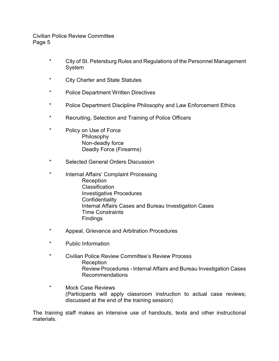- \* City of St. Petersburg Rules and Regulations of the Personnel Management System
- \* City Charter and State Statutes
- \* Police Department Written Directives
- \* Police Department Discipline Philosophy and Law Enforcement Ethics
- \* Recruiting, Selection and Training of Police Officers
- \* Policy on Use of Force Philosophy Non-deadly force Deadly Force (Firearms)
- \* Selected General Orders Discussion
- \* Internal Affairs' Complaint Processing **Reception Classification** Investigative Procedures **Confidentiality** Internal Affairs Cases and Bureau Investigation Cases Time Constraints Findings
- \* Appeal, Grievance and Arbitration Procedures
- \* Public Information
- \* Civilian Police Review Committee's Review Process Reception Review Procedures - Internal Affairs and Bureau Investigation Cases Recommendations
- \* Mock Case Reviews (Participants will apply classroom instruction to actual case reviews; discussed at the end of the training session)

The training staff makes an intensive use of handouts, texts and other instructional materials.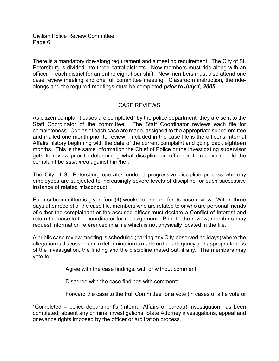l

There is a mandatory ride-along requirement and a meeting requirement. The City of St. Petersburg is divided into three patrol districts. New members must ride along with an officer in each district for an entire eight-hour shift. New members must also attend one case review meeting and one full committee meeting. Classroom instruction, the ridealongs and the required meetings must be completed *prior to July 1, 2005*.

# CASE REVIEWS

As citizen complaint cases are completed\* by the police department, they are sent to the Staff Coordinator of the committee. The Staff Coordinator reviews each file for completeness. Copies of each case are made, assigned to the appropriate subcommittee and mailed one month prior to review. Included in the case file is the officer's Internal Affairs history beginning with the date of the current complaint and going back eighteen months. This is the same information the Chief of Police or the investigating supervisor gets to review prior to determining what discipline an officer is to receive should the complaint be *sustained* against him/her.

The City of St. Petersburg operates under a progressive discipline process whereby employees are subjected to increasingly severe levels of discipline for each successive instance of related misconduct.

Each subcommittee is given four (4) weeks to prepare for its case review. Within three days after receipt of the case file, members who are related to or who are personal friends of either the complainant or the accused officer must declare a Conflict of Interest and return the case to the coordinator for reassignment. Prior to the review, members may request information referenced in a file which is not physically located in the file.

A public case review meeting is scheduled (barring any City-observed holidays) where the allegation is discussed and a determination is made on the adequacy and appropriateness of the investigation, the finding and the discipline meted out, if any. The members may vote to:

Agree with the case findings, with or without comment;

Disagree with the case findings with comment;

Forward the case to the Full Committee for a vote (in cases of a tie vote or

<sup>\*</sup>Completed = police department's (Internal Affairs or bureau) investigation has been completed; absent any criminal investigations, State Attorney investigations, appeal and grievance rights imposed by the officer or arbitration process.